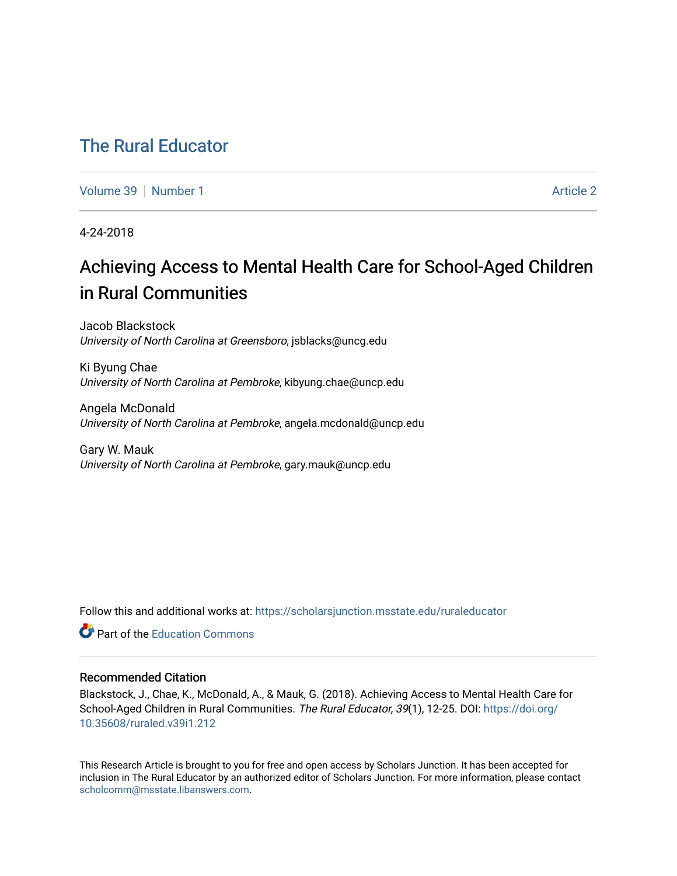# [The Rural Educator](https://scholarsjunction.msstate.edu/ruraleducator)

[Volume 39](https://scholarsjunction.msstate.edu/ruraleducator/vol39) [Number 1](https://scholarsjunction.msstate.edu/ruraleducator/vol39/iss1) [Article 2](https://scholarsjunction.msstate.edu/ruraleducator/vol39/iss1/2) Article 2

4-24-2018

# Achieving Access to Mental Health Care for School-Aged Children in Rural Communities

Jacob Blackstock University of North Carolina at Greensboro, jsblacks@uncg.edu

Ki Byung Chae University of North Carolina at Pembroke, kibyung.chae@uncp.edu

Angela McDonald University of North Carolina at Pembroke, angela.mcdonald@uncp.edu

Gary W. Mauk University of North Carolina at Pembroke, gary.mauk@uncp.edu

Follow this and additional works at: [https://scholarsjunction.msstate.edu/ruraleducator](https://scholarsjunction.msstate.edu/ruraleducator?utm_source=scholarsjunction.msstate.edu%2Fruraleducator%2Fvol39%2Fiss1%2F2&utm_medium=PDF&utm_campaign=PDFCoverPages)

**C** Part of the [Education Commons](http://network.bepress.com/hgg/discipline/784?utm_source=scholarsjunction.msstate.edu%2Fruraleducator%2Fvol39%2Fiss1%2F2&utm_medium=PDF&utm_campaign=PDFCoverPages)

# Recommended Citation

Blackstock, J., Chae, K., McDonald, A., & Mauk, G. (2018). Achieving Access to Mental Health Care for School-Aged Children in Rural Communities. The Rural Educator, 39(1), 12-25. DOI: [https://doi.org/](https://doi.org/10.35608/ruraled.v39i1.212) [10.35608/ruraled.v39i1.212](https://doi.org/10.35608/ruraled.v39i1.212)

This Research Article is brought to you for free and open access by Scholars Junction. It has been accepted for inclusion in The Rural Educator by an authorized editor of Scholars Junction. For more information, please contact [scholcomm@msstate.libanswers.com.](mailto:scholcomm@msstate.libanswers.com)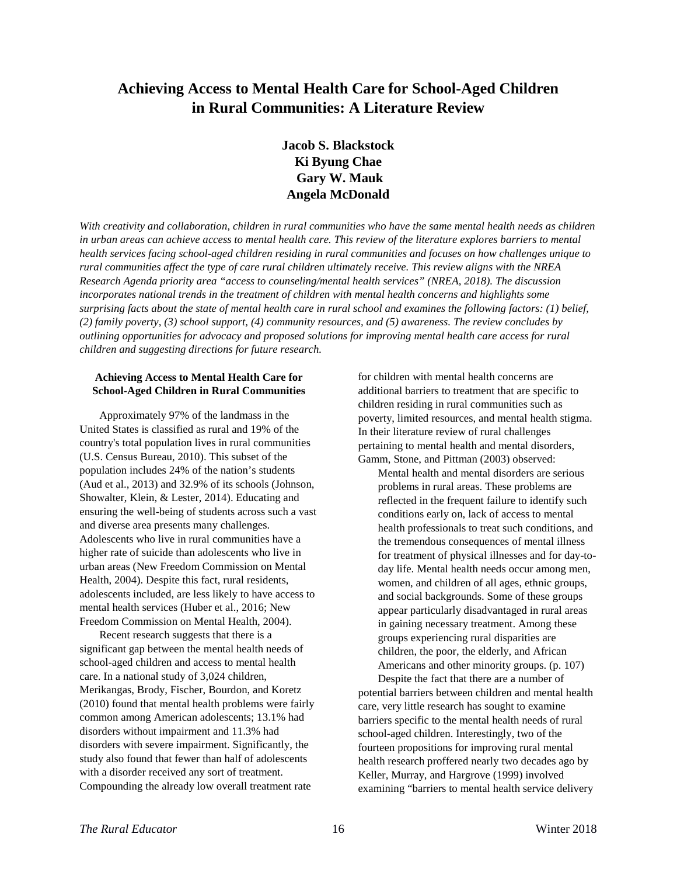# **Achieving Access to Mental Health Care for School-Aged Children in Rural Communities: A Literature Review**

# **Jacob S. Blackstock Ki Byung Chae Gary W. Mauk Angela McDonald**

*With creativity and collaboration, children in rural communities who have the same mental health needs as children in urban areas can achieve access to mental health care. This review of the literature explores barriers to mental health services facing school-aged children residing in rural communities and focuses on how challenges unique to rural communities affect the type of care rural children ultimately receive. This review aligns with the NREA Research Agenda priority area "access to counseling/mental health services" (NREA, 2018). The discussion incorporates national trends in the treatment of children with mental health concerns and highlights some surprising facts about the state of mental health care in rural school and examines the following factors: (1) belief, (2) family poverty, (3) school support, (4) community resources, and (5) awareness. The review concludes by outlining opportunities for advocacy and proposed solutions for improving mental health care access for rural children and suggesting directions for future research.*

# **Achieving Access to Mental Health Care for School-Aged Children in Rural Communities**

Approximately 97% of the landmass in the United States is classified as rural and 19% of the country's total population lives in rural communities (U.S. Census Bureau, 2010). This subset of the population includes 24% of the nation's students (Aud et al., 2013) and 32.9% of its schools (Johnson, Showalter, Klein, & Lester, 2014). Educating and ensuring the well-being of students across such a vast and diverse area presents many challenges. Adolescents who live in rural communities have a higher rate of suicide than adolescents who live in urban areas (New Freedom Commission on Mental Health, 2004). Despite this fact, rural residents, adolescents included, are less likely to have access to mental health services (Huber et al., 2016; New Freedom Commission on Mental Health, 2004).

Recent research suggests that there is a significant gap between the mental health needs of school-aged children and access to mental health care. In a national study of 3,024 children, Merikangas, Brody, Fischer, Bourdon, and Koretz (2010) found that mental health problems were fairly common among American adolescents; 13.1% had disorders without impairment and 11.3% had disorders with severe impairment. Significantly, the study also found that fewer than half of adolescents with a disorder received any sort of treatment. Compounding the already low overall treatment rate

for children with mental health concerns are additional barriers to treatment that are specific to children residing in rural communities such as poverty, limited resources, and mental health stigma. In their literature review of rural challenges pertaining to mental health and mental disorders, Gamm, Stone, and Pittman (2003) observed:

Mental health and mental disorders are serious problems in rural areas. These problems are reflected in the frequent failure to identify such conditions early on, lack of access to mental health professionals to treat such conditions, and the tremendous consequences of mental illness for treatment of physical illnesses and for day-today life. Mental health needs occur among men, women, and children of all ages, ethnic groups, and social backgrounds. Some of these groups appear particularly disadvantaged in rural areas in gaining necessary treatment. Among these groups experiencing rural disparities are children, the poor, the elderly, and African Americans and other minority groups. (p. 107)

Despite the fact that there are a number of potential barriers between children and mental health care, very little research has sought to examine barriers specific to the mental health needs of rural school-aged children. Interestingly, two of the fourteen propositions for improving rural mental health research proffered nearly two decades ago by Keller, Murray, and Hargrove (1999) involved examining "barriers to mental health service delivery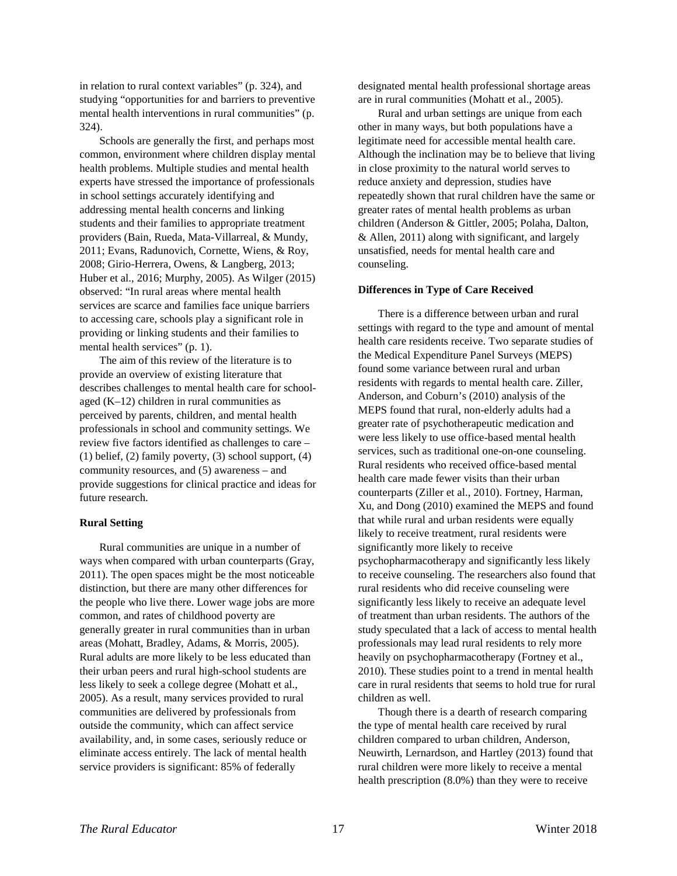in relation to rural context variables" (p. 324), and studying "opportunities for and barriers to preventive mental health interventions in rural communities" (p. 324).

Schools are generally the first, and perhaps most common, environment where children display mental health problems. Multiple studies and mental health experts have stressed the importance of professionals in school settings accurately identifying and addressing mental health concerns and linking students and their families to appropriate treatment providers (Bain, Rueda, Mata-Villarreal, & Mundy, 2011; Evans, Radunovich, Cornette, Wiens, & Roy, 2008; Girio-Herrera, Owens, & Langberg, 2013; Huber et al., 2016; Murphy, 2005). As Wilger (2015) observed: "In rural areas where mental health services are scarce and families face unique barriers to accessing care, schools play a significant role in providing or linking students and their families to mental health services" (p. 1).

The aim of this review of the literature is to provide an overview of existing literature that describes challenges to mental health care for schoolaged (K–12) children in rural communities as perceived by parents, children, and mental health professionals in school and community settings. We review five factors identified as challenges to care – (1) belief, (2) family poverty, (3) school support, (4) community resources, and (5) awareness – and provide suggestions for clinical practice and ideas for future research.

#### **Rural Setting**

Rural communities are unique in a number of ways when compared with urban counterparts (Gray, 2011). The open spaces might be the most noticeable distinction, but there are many other differences for the people who live there. Lower wage jobs are more common, and rates of childhood poverty are generally greater in rural communities than in urban areas (Mohatt, Bradley, Adams, & Morris, 2005). Rural adults are more likely to be less educated than their urban peers and rural high-school students are less likely to seek a college degree (Mohatt et al., 2005). As a result, many services provided to rural communities are delivered by professionals from outside the community, which can affect service availability, and, in some cases, seriously reduce or eliminate access entirely. The lack of mental health service providers is significant: 85% of federally

designated mental health professional shortage areas are in rural communities (Mohatt et al., 2005).

Rural and urban settings are unique from each other in many ways, but both populations have a legitimate need for accessible mental health care. Although the inclination may be to believe that living in close proximity to the natural world serves to reduce anxiety and depression, studies have repeatedly shown that rural children have the same or greater rates of mental health problems as urban children (Anderson & Gittler, 2005; Polaha, Dalton, & Allen, 2011) along with significant, and largely unsatisfied, needs for mental health care and counseling.

#### **Differences in Type of Care Received**

There is a difference between urban and rural settings with regard to the type and amount of mental health care residents receive. Two separate studies of the Medical Expenditure Panel Surveys (MEPS) found some variance between rural and urban residents with regards to mental health care. Ziller, Anderson, and Coburn's (2010) analysis of the MEPS found that rural, non-elderly adults had a greater rate of psychotherapeutic medication and were less likely to use office-based mental health services, such as traditional one-on-one counseling. Rural residents who received office-based mental health care made fewer visits than their urban counterparts (Ziller et al., 2010). Fortney, Harman, Xu, and Dong (2010) examined the MEPS and found that while rural and urban residents were equally likely to receive treatment, rural residents were significantly more likely to receive psychopharmacotherapy and significantly less likely to receive counseling. The researchers also found that rural residents who did receive counseling were significantly less likely to receive an adequate level of treatment than urban residents. The authors of the study speculated that a lack of access to mental health professionals may lead rural residents to rely more heavily on psychopharmacotherapy (Fortney et al., 2010). These studies point to a trend in mental health care in rural residents that seems to hold true for rural children as well.

Though there is a dearth of research comparing the type of mental health care received by rural children compared to urban children, Anderson, Neuwirth, Lernardson, and Hartley (2013) found that rural children were more likely to receive a mental health prescription (8.0%) than they were to receive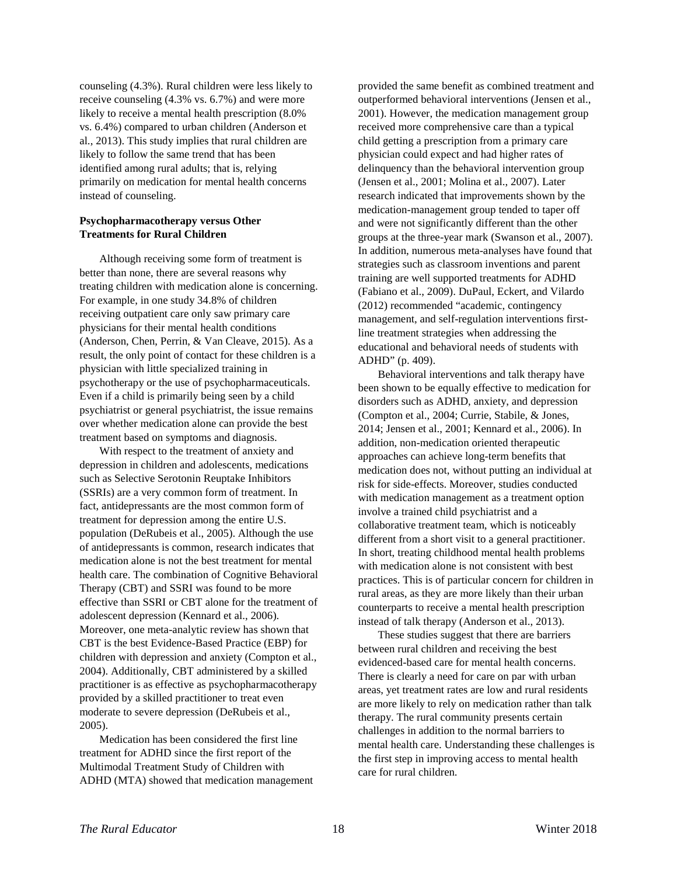counseling (4.3%). Rural children were less likely to receive counseling (4.3% vs. 6.7%) and were more likely to receive a mental health prescription (8.0% vs. 6.4%) compared to urban children (Anderson et al., 2013). This study implies that rural children are likely to follow the same trend that has been identified among rural adults; that is, relying primarily on medication for mental health concerns instead of counseling.

## **Psychopharmacotherapy versus Other Treatments for Rural Children**

Although receiving some form of treatment is better than none, there are several reasons why treating children with medication alone is concerning. For example, in one study 34.8% of children receiving outpatient care only saw primary care physicians for their mental health conditions (Anderson, Chen, Perrin, & Van Cleave, 2015). As a result, the only point of contact for these children is a physician with little specialized training in psychotherapy or the use of psychopharmaceuticals. Even if a child is primarily being seen by a child psychiatrist or general psychiatrist, the issue remains over whether medication alone can provide the best treatment based on symptoms and diagnosis.

With respect to the treatment of anxiety and depression in children and adolescents, medications such as Selective Serotonin Reuptake Inhibitors (SSRIs) are a very common form of treatment. In fact, antidepressants are the most common form of treatment for depression among the entire U.S. population (DeRubeis et al., 2005). Although the use of antidepressants is common, research indicates that medication alone is not the best treatment for mental health care. The combination of Cognitive Behavioral Therapy (CBT) and SSRI was found to be more effective than SSRI or CBT alone for the treatment of adolescent depression (Kennard et al., 2006). Moreover, one meta-analytic review has shown that CBT is the best Evidence-Based Practice (EBP) for children with depression and anxiety (Compton et al., 2004). Additionally, CBT administered by a skilled practitioner is as effective as psychopharmacotherapy provided by a skilled practitioner to treat even moderate to severe depression (DeRubeis et al., 2005).

Medication has been considered the first line treatment for ADHD since the first report of the Multimodal Treatment Study of Children with ADHD (MTA) showed that medication management

provided the same benefit as combined treatment and outperformed behavioral interventions (Jensen et al., 2001). However, the medication management group received more comprehensive care than a typical child getting a prescription from a primary care physician could expect and had higher rates of delinquency than the behavioral intervention group (Jensen et al., 2001; Molina et al., 2007). Later research indicated that improvements shown by the medication-management group tended to taper off and were not significantly different than the other groups at the three-year mark (Swanson et al., 2007). In addition, numerous meta-analyses have found that strategies such as classroom inventions and parent training are well supported treatments for ADHD (Fabiano et al., 2009). DuPaul, Eckert, and Vilardo (2012) recommended "academic, contingency management, and self-regulation interventions firstline treatment strategies when addressing the educational and behavioral needs of students with ADHD" (p. 409).

Behavioral interventions and talk therapy have been shown to be equally effective to medication for disorders such as ADHD, anxiety, and depression (Compton et al., 2004; Currie, Stabile, & Jones, 2014; Jensen et al., 2001; Kennard et al., 2006). In addition, non-medication oriented therapeutic approaches can achieve long-term benefits that medication does not, without putting an individual at risk for side-effects. Moreover, studies conducted with medication management as a treatment option involve a trained child psychiatrist and a collaborative treatment team, which is noticeably different from a short visit to a general practitioner. In short, treating childhood mental health problems with medication alone is not consistent with best practices. This is of particular concern for children in rural areas, as they are more likely than their urban counterparts to receive a mental health prescription instead of talk therapy (Anderson et al., 2013).

These studies suggest that there are barriers between rural children and receiving the best evidenced-based care for mental health concerns. There is clearly a need for care on par with urban areas, yet treatment rates are low and rural residents are more likely to rely on medication rather than talk therapy. The rural community presents certain challenges in addition to the normal barriers to mental health care. Understanding these challenges is the first step in improving access to mental health care for rural children.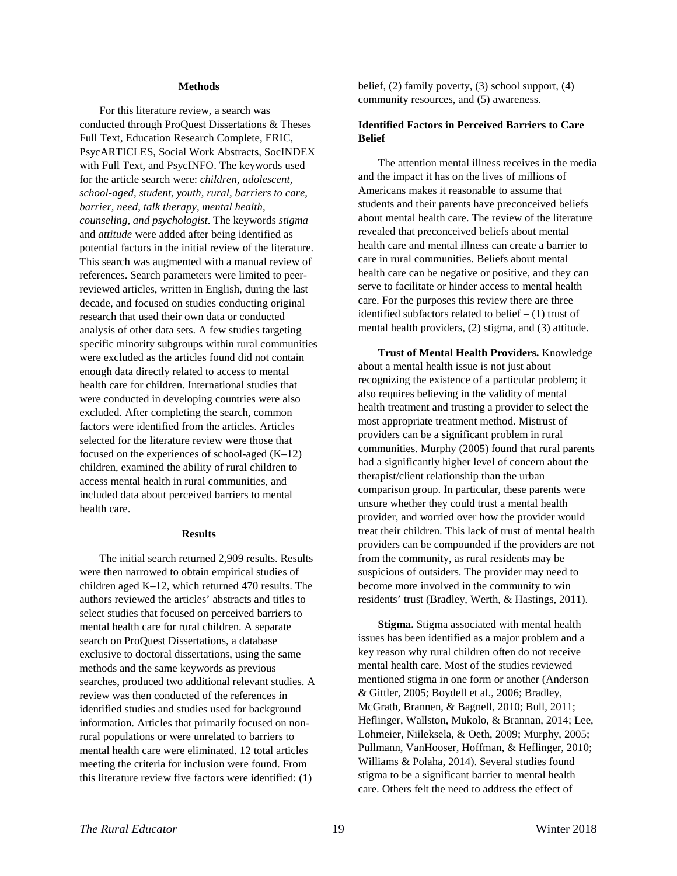#### **Methods**

For this literature review, a search was conducted through ProQuest Dissertations & Theses Full Text, Education Research Complete, ERIC, PsycARTICLES, Social Work Abstracts, SocINDEX with Full Text, and PsycINFO. The keywords used for the article search were: *children, adolescent, school-aged, student, youth, rural, barriers to care, barrier, need, talk therapy, mental health, counseling, and psychologist*. The keywords *stigma*  and *attitude* were added after being identified as potential factors in the initial review of the literature. This search was augmented with a manual review of references. Search parameters were limited to peerreviewed articles, written in English, during the last decade, and focused on studies conducting original research that used their own data or conducted analysis of other data sets. A few studies targeting specific minority subgroups within rural communities were excluded as the articles found did not contain enough data directly related to access to mental health care for children. International studies that were conducted in developing countries were also excluded. After completing the search, common factors were identified from the articles. Articles selected for the literature review were those that focused on the experiences of school-aged (K–12) children, examined the ability of rural children to access mental health in rural communities, and included data about perceived barriers to mental health care.

#### **Results**

The initial search returned 2,909 results. Results were then narrowed to obtain empirical studies of children aged K–12, which returned 470 results. The authors reviewed the articles' abstracts and titles to select studies that focused on perceived barriers to mental health care for rural children. A separate search on ProQuest Dissertations, a database exclusive to doctoral dissertations, using the same methods and the same keywords as previous searches, produced two additional relevant studies. A review was then conducted of the references in identified studies and studies used for background information. Articles that primarily focused on nonrural populations or were unrelated to barriers to mental health care were eliminated. 12 total articles meeting the criteria for inclusion were found. From this literature review five factors were identified: (1)

belief, (2) family poverty, (3) school support, (4) community resources, and (5) awareness.

### **Identified Factors in Perceived Barriers to Care Belief**

The attention mental illness receives in the media and the impact it has on the lives of millions of Americans makes it reasonable to assume that students and their parents have preconceived beliefs about mental health care. The review of the literature revealed that preconceived beliefs about mental health care and mental illness can create a barrier to care in rural communities. Beliefs about mental health care can be negative or positive, and they can serve to facilitate or hinder access to mental health care. For the purposes this review there are three identified subfactors related to belief  $- (1)$  trust of mental health providers, (2) stigma, and (3) attitude.

**Trust of Mental Health Providers.** Knowledge about a mental health issue is not just about recognizing the existence of a particular problem; it also requires believing in the validity of mental health treatment and trusting a provider to select the most appropriate treatment method. Mistrust of providers can be a significant problem in rural communities. Murphy (2005) found that rural parents had a significantly higher level of concern about the therapist/client relationship than the urban comparison group. In particular, these parents were unsure whether they could trust a mental health provider, and worried over how the provider would treat their children. This lack of trust of mental health providers can be compounded if the providers are not from the community, as rural residents may be suspicious of outsiders. The provider may need to become more involved in the community to win residents' trust (Bradley, Werth, & Hastings, 2011).

**Stigma.** Stigma associated with mental health issues has been identified as a major problem and a key reason why rural children often do not receive mental health care. Most of the studies reviewed mentioned stigma in one form or another (Anderson & Gittler, 2005; Boydell et al., 2006; Bradley, McGrath, Brannen, & Bagnell, 2010; Bull, 2011; Heflinger, Wallston, Mukolo, & Brannan, 2014; Lee, Lohmeier, Niileksela, & Oeth, 2009; Murphy, 2005; Pullmann, VanHooser, Hoffman, & Heflinger, 2010; Williams & Polaha, 2014). Several studies found stigma to be a significant barrier to mental health care. Others felt the need to address the effect of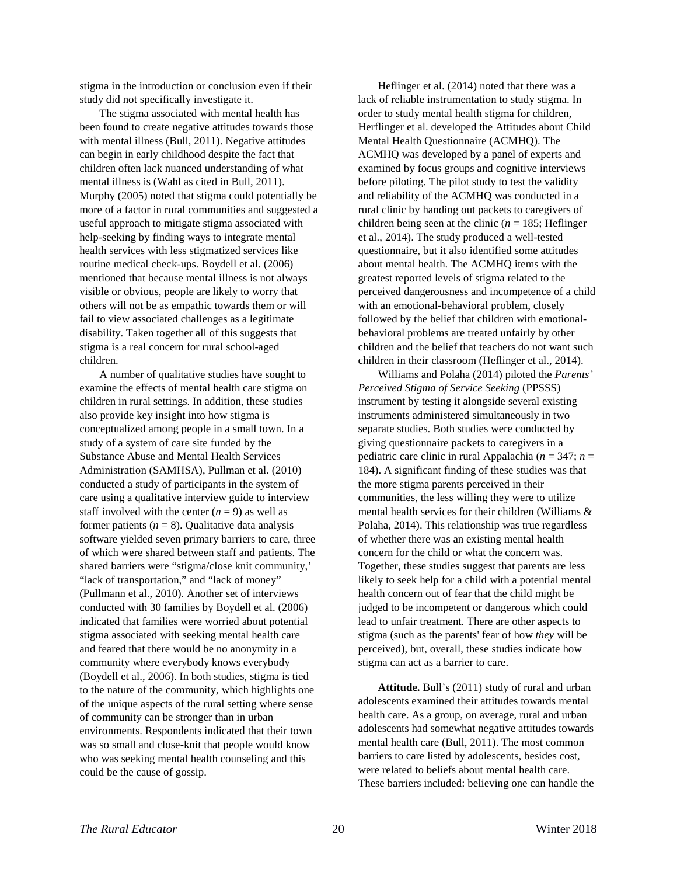stigma in the introduction or conclusion even if their study did not specifically investigate it.

The stigma associated with mental health has been found to create negative attitudes towards those with mental illness (Bull, 2011). Negative attitudes can begin in early childhood despite the fact that children often lack nuanced understanding of what mental illness is (Wahl as cited in Bull, 2011). Murphy (2005) noted that stigma could potentially be more of a factor in rural communities and suggested a useful approach to mitigate stigma associated with help-seeking by finding ways to integrate mental health services with less stigmatized services like routine medical check-ups. Boydell et al. (2006) mentioned that because mental illness is not always visible or obvious, people are likely to worry that others will not be as empathic towards them or will fail to view associated challenges as a legitimate disability. Taken together all of this suggests that stigma is a real concern for rural school-aged children.

A number of qualitative studies have sought to examine the effects of mental health care stigma on children in rural settings. In addition, these studies also provide key insight into how stigma is conceptualized among people in a small town. In a study of a system of care site funded by the Substance Abuse and Mental Health Services Administration (SAMHSA), Pullman et al. (2010) conducted a study of participants in the system of care using a qualitative interview guide to interview staff involved with the center  $(n = 9)$  as well as former patients  $(n = 8)$ . Qualitative data analysis software yielded seven primary barriers to care, three of which were shared between staff and patients. The shared barriers were "stigma/close knit community,' "lack of transportation," and "lack of money" (Pullmann et al., 2010). Another set of interviews conducted with 30 families by Boydell et al. (2006) indicated that families were worried about potential stigma associated with seeking mental health care and feared that there would be no anonymity in a community where everybody knows everybody (Boydell et al., 2006). In both studies, stigma is tied to the nature of the community, which highlights one of the unique aspects of the rural setting where sense of community can be stronger than in urban environments. Respondents indicated that their town was so small and close-knit that people would know who was seeking mental health counseling and this could be the cause of gossip.

Heflinger et al. (2014) noted that there was a lack of reliable instrumentation to study stigma. In order to study mental health stigma for children, Herflinger et al. developed the Attitudes about Child Mental Health Questionnaire (ACMHQ). The ACMHQ was developed by a panel of experts and examined by focus groups and cognitive interviews before piloting. The pilot study to test the validity and reliability of the ACMHQ was conducted in a rural clinic by handing out packets to caregivers of children being seen at the clinic ( $n = 185$ ; Heflinger et al., 2014). The study produced a well-tested questionnaire, but it also identified some attitudes about mental health. The ACMHQ items with the greatest reported levels of stigma related to the perceived dangerousness and incompetence of a child with an emotional-behavioral problem, closely followed by the belief that children with emotionalbehavioral problems are treated unfairly by other children and the belief that teachers do not want such children in their classroom (Heflinger et al., 2014).

Williams and Polaha (2014) piloted the *Parents' Perceived Stigma of Service Seeking* (PPSSS) instrument by testing it alongside several existing instruments administered simultaneously in two separate studies. Both studies were conducted by giving questionnaire packets to caregivers in a pediatric care clinic in rural Appalachia (*n* = 347; *n* = 184). A significant finding of these studies was that the more stigma parents perceived in their communities, the less willing they were to utilize mental health services for their children (Williams & Polaha, 2014). This relationship was true regardless of whether there was an existing mental health concern for the child or what the concern was. Together, these studies suggest that parents are less likely to seek help for a child with a potential mental health concern out of fear that the child might be judged to be incompetent or dangerous which could lead to unfair treatment. There are other aspects to stigma (such as the parents' fear of how *they* will be perceived), but, overall, these studies indicate how stigma can act as a barrier to care.

**Attitude.** Bull's (2011) study of rural and urban adolescents examined their attitudes towards mental health care. As a group, on average, rural and urban adolescents had somewhat negative attitudes towards mental health care (Bull, 2011). The most common barriers to care listed by adolescents, besides cost, were related to beliefs about mental health care. These barriers included: believing one can handle the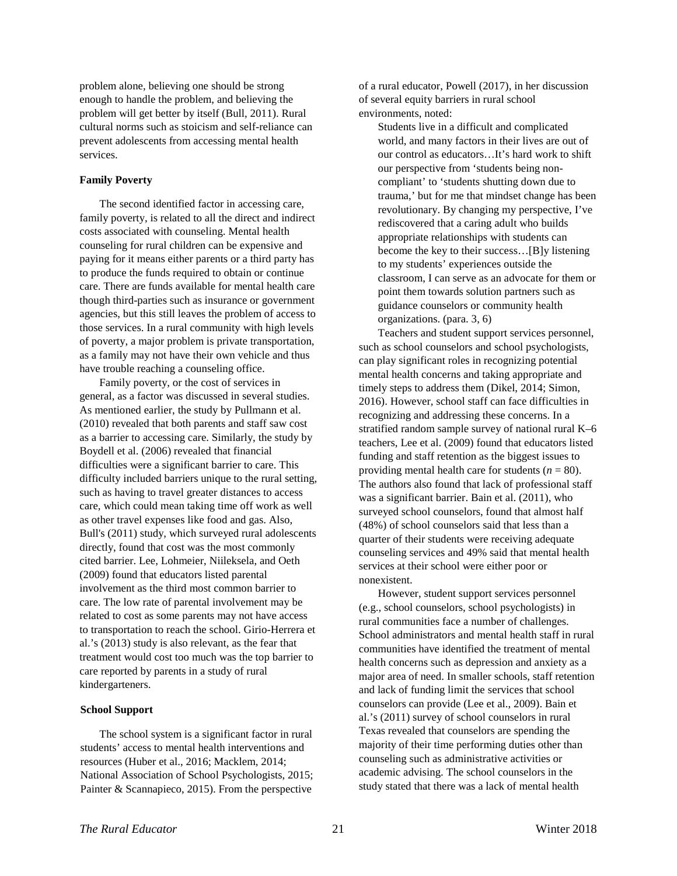problem alone, believing one should be strong enough to handle the problem, and believing the problem will get better by itself (Bull, 2011). Rural cultural norms such as stoicism and self-reliance can prevent adolescents from accessing mental health services.

#### **Family Poverty**

The second identified factor in accessing care, family poverty, is related to all the direct and indirect costs associated with counseling. Mental health counseling for rural children can be expensive and paying for it means either parents or a third party has to produce the funds required to obtain or continue care. There are funds available for mental health care though third-parties such as insurance or government agencies, but this still leaves the problem of access to those services. In a rural community with high levels of poverty, a major problem is private transportation, as a family may not have their own vehicle and thus have trouble reaching a counseling office.

Family poverty, or the cost of services in general, as a factor was discussed in several studies. As mentioned earlier, the study by Pullmann et al. (2010) revealed that both parents and staff saw cost as a barrier to accessing care. Similarly, the study by Boydell et al. (2006) revealed that financial difficulties were a significant barrier to care. This difficulty included barriers unique to the rural setting, such as having to travel greater distances to access care, which could mean taking time off work as well as other travel expenses like food and gas. Also, Bull's (2011) study, which surveyed rural adolescents directly, found that cost was the most commonly cited barrier. Lee, Lohmeier, Niileksela, and Oeth (2009) found that educators listed parental involvement as the third most common barrier to care. The low rate of parental involvement may be related to cost as some parents may not have access to transportation to reach the school. Girio-Herrera et al.'s (2013) study is also relevant, as the fear that treatment would cost too much was the top barrier to care reported by parents in a study of rural kindergarteners.

#### **School Support**

The school system is a significant factor in rural students' access to mental health interventions and resources (Huber et al., 2016; Macklem, 2014; National Association of School Psychologists, 2015; Painter & Scannapieco, 2015). From the perspective

of a rural educator, Powell (2017), in her discussion of several equity barriers in rural school environments, noted:

Students live in a difficult and complicated world, and many factors in their lives are out of our control as educators…It's hard work to shift our perspective from 'students being noncompliant' to 'students shutting down due to trauma,' but for me that mindset change has been revolutionary. By changing my perspective, I've rediscovered that a caring adult who builds appropriate relationships with students can become the key to their success…[B]y listening to my students' experiences outside the classroom, I can serve as an advocate for them or point them towards solution partners such as guidance counselors or community health organizations. (para. 3, 6)

Teachers and student support services personnel, such as school counselors and school psychologists, can play significant roles in recognizing potential mental health concerns and taking appropriate and timely steps to address them (Dikel, 2014; Simon, 2016). However, school staff can face difficulties in recognizing and addressing these concerns. In a stratified random sample survey of national rural K–6 teachers, Lee et al. (2009) found that educators listed funding and staff retention as the biggest issues to providing mental health care for students  $(n = 80)$ . The authors also found that lack of professional staff was a significant barrier. Bain et al. (2011), who surveyed school counselors, found that almost half (48%) of school counselors said that less than a quarter of their students were receiving adequate counseling services and 49% said that mental health services at their school were either poor or nonexistent.

However, student support services personnel (e.g., school counselors, school psychologists) in rural communities face a number of challenges. School administrators and mental health staff in rural communities have identified the treatment of mental health concerns such as depression and anxiety as a major area of need. In smaller schools, staff retention and lack of funding limit the services that school counselors can provide (Lee et al., 2009). Bain et al.'s (2011) survey of school counselors in rural Texas revealed that counselors are spending the majority of their time performing duties other than counseling such as administrative activities or academic advising. The school counselors in the study stated that there was a lack of mental health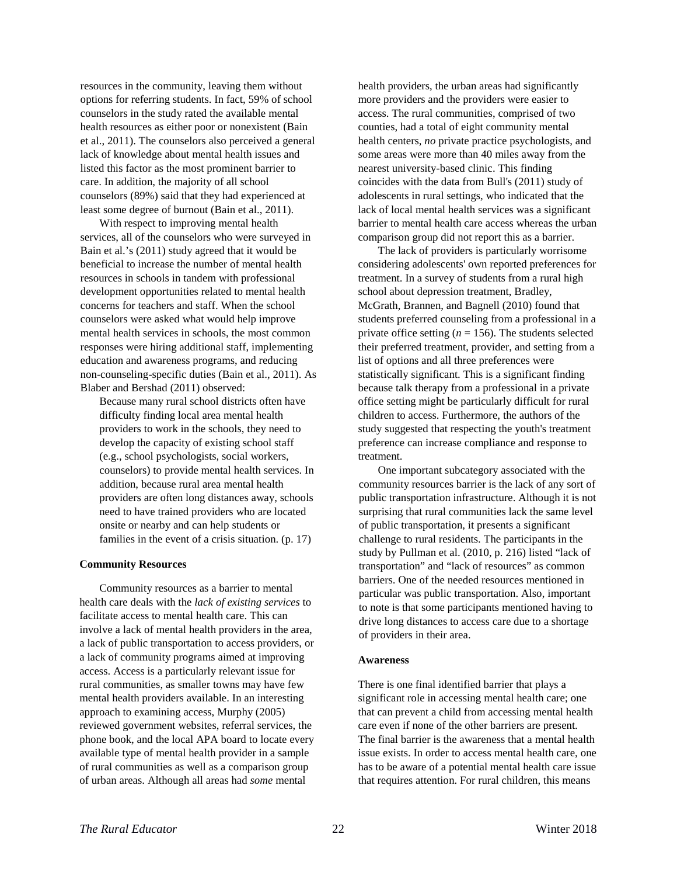resources in the community, leaving them without options for referring students. In fact, 59% of school counselors in the study rated the available mental health resources as either poor or nonexistent (Bain et al., 2011). The counselors also perceived a general lack of knowledge about mental health issues and listed this factor as the most prominent barrier to care. In addition, the majority of all school counselors (89%) said that they had experienced at least some degree of burnout (Bain et al., 2011).

With respect to improving mental health services, all of the counselors who were surveyed in Bain et al.'s (2011) study agreed that it would be beneficial to increase the number of mental health resources in schools in tandem with professional development opportunities related to mental health concerns for teachers and staff. When the school counselors were asked what would help improve mental health services in schools, the most common responses were hiring additional staff, implementing education and awareness programs, and reducing non-counseling-specific duties (Bain et al., 2011). As Blaber and Bershad (2011) observed:

Because many rural school districts often have difficulty finding local area mental health providers to work in the schools, they need to develop the capacity of existing school staff (e.g., school psychologists, social workers, counselors) to provide mental health services. In addition, because rural area mental health providers are often long distances away, schools need to have trained providers who are located onsite or nearby and can help students or families in the event of a crisis situation. (p. 17)

#### **Community Resources**

Community resources as a barrier to mental health care deals with the *lack of existing services* to facilitate access to mental health care. This can involve a lack of mental health providers in the area, a lack of public transportation to access providers, or a lack of community programs aimed at improving access. Access is a particularly relevant issue for rural communities, as smaller towns may have few mental health providers available. In an interesting approach to examining access, Murphy (2005) reviewed government websites, referral services, the phone book, and the local APA board to locate every available type of mental health provider in a sample of rural communities as well as a comparison group of urban areas. Although all areas had *some* mental

health providers, the urban areas had significantly more providers and the providers were easier to access. The rural communities, comprised of two counties, had a total of eight community mental health centers, *no* private practice psychologists, and some areas were more than 40 miles away from the nearest university-based clinic. This finding coincides with the data from Bull's (2011) study of adolescents in rural settings, who indicated that the lack of local mental health services was a significant barrier to mental health care access whereas the urban comparison group did not report this as a barrier.

The lack of providers is particularly worrisome considering adolescents' own reported preferences for treatment. In a survey of students from a rural high school about depression treatment, Bradley, McGrath, Brannen, and Bagnell (2010) found that students preferred counseling from a professional in a private office setting  $(n = 156)$ . The students selected their preferred treatment, provider, and setting from a list of options and all three preferences were statistically significant. This is a significant finding because talk therapy from a professional in a private office setting might be particularly difficult for rural children to access. Furthermore, the authors of the study suggested that respecting the youth's treatment preference can increase compliance and response to treatment.

One important subcategory associated with the community resources barrier is the lack of any sort of public transportation infrastructure. Although it is not surprising that rural communities lack the same level of public transportation, it presents a significant challenge to rural residents. The participants in the study by Pullman et al. (2010, p. 216) listed "lack of transportation" and "lack of resources" as common barriers. One of the needed resources mentioned in particular was public transportation. Also, important to note is that some participants mentioned having to drive long distances to access care due to a shortage of providers in their area.

#### **Awareness**

There is one final identified barrier that plays a significant role in accessing mental health care; one that can prevent a child from accessing mental health care even if none of the other barriers are present. The final barrier is the awareness that a mental health issue exists. In order to access mental health care, one has to be aware of a potential mental health care issue that requires attention. For rural children, this means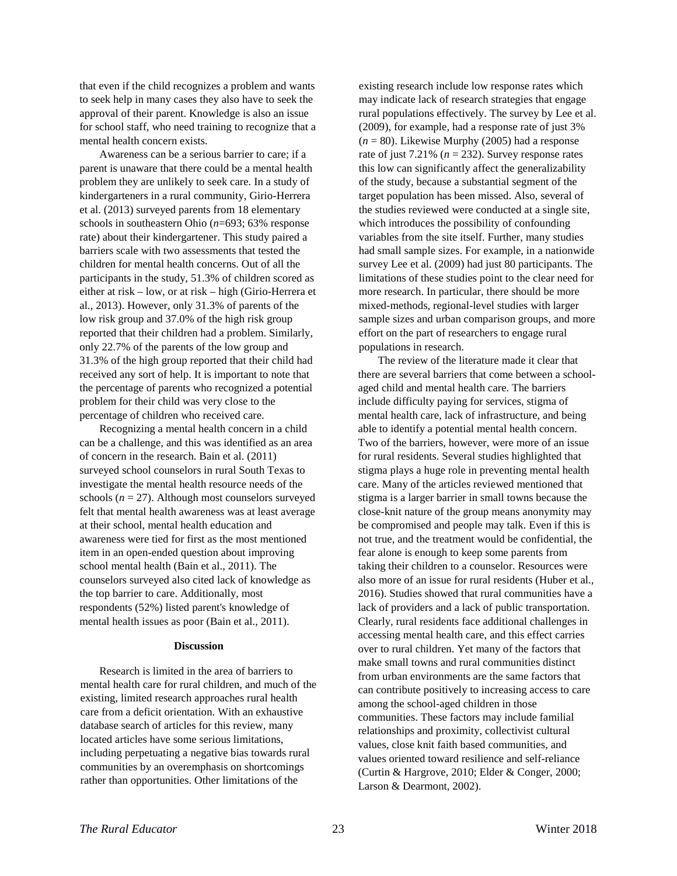that even if the child recognizes a problem and wants to seek help in many cases they also have to seek the approval of their parent. Knowledge is also an issue for school staff, who need training to recognize that a mental health concern exists.

Awareness can be a serious barrier to care; if a parent is unaware that there could be a mental health problem they are unlikely to seek care. In a study of kindergarteners in a rural community, Girio-Herrera et al. (2013) surveyed parents from 18 elementary schools in southeastern Ohio (*n*=693; 63% response rate) about their kindergartener. This study paired a barriers scale with two assessments that tested the children for mental health concerns. Out of all the participants in the study, 51.3% of children scored as either at risk – low, or at risk – high (Girio-Herrera et al., 2013). However, only 31.3% of parents of the low risk group and 37.0% of the high risk group reported that their children had a problem. Similarly, only 22.7% of the parents of the low group and 31.3% of the high group reported that their child had received any sort of help. It is important to note that the percentage of parents who recognized a potential problem for their child was very close to the percentage of children who received care.

Recognizing a mental health concern in a child can be a challenge, and this was identified as an area of concern in the research. Bain et al. (2011) surveyed school counselors in rural South Texas to investigate the mental health resource needs of the schools  $(n = 27)$ . Although most counselors surveyed felt that mental health awareness was at least average at their school, mental health education and awareness were tied for first as the most mentioned item in an open-ended question about improving school mental health (Bain et al., 2011). The counselors surveyed also cited lack of knowledge as the top barrier to care. Additionally, most respondents (52%) listed parent's knowledge of mental health issues as poor (Bain et al., 2011).

#### **Discussion**

Research is limited in the area of barriers to mental health care for rural children, and much of the existing, limited research approaches rural health care from a deficit orientation. With an exhaustive database search of articles for this review, many located articles have some serious limitations, including perpetuating a negative bias towards rural communities by an overemphasis on shortcomings rather than opportunities. Other limitations of the

existing research include low response rates which may indicate lack of research strategies that engage rural populations effectively. The survey by Lee et al. (2009), for example, had a response rate of just 3%  $(n = 80)$ . Likewise Murphy (2005) had a response rate of just  $7.21\%$  ( $n = 232$ ). Survey response rates this low can significantly affect the generalizability of the study, because a substantial segment of the target population has been missed. Also, several of the studies reviewed were conducted at a single site, which introduces the possibility of confounding variables from the site itself. Further, many studies had small sample sizes. For example, in a nationwide survey Lee et al. (2009) had just 80 participants. The limitations of these studies point to the clear need for more research. In particular, there should be more mixed-methods, regional-level studies with larger sample sizes and urban comparison groups, and more effort on the part of researchers to engage rural populations in research.

The review of the literature made it clear that there are several barriers that come between a schoolaged child and mental health care. The barriers include difficulty paying for services, stigma of mental health care, lack of infrastructure, and being able to identify a potential mental health concern. Two of the barriers, however, were more of an issue for rural residents. Several studies highlighted that stigma plays a huge role in preventing mental health care. Many of the articles reviewed mentioned that stigma is a larger barrier in small towns because the close-knit nature of the group means anonymity may be compromised and people may talk. Even if this is not true, and the treatment would be confidential, the fear alone is enough to keep some parents from taking their children to a counselor. Resources were also more of an issue for rural residents (Huber et al., 2016). Studies showed that rural communities have a lack of providers and a lack of public transportation. Clearly, rural residents face additional challenges in accessing mental health care, and this effect carries over to rural children. Yet many of the factors that make small towns and rural communities distinct from urban environments are the same factors that can contribute positively to increasing access to care among the school-aged children in those communities. These factors may include familial relationships and proximity, collectivist cultural values, close knit faith based communities, and values oriented toward resilience and self-reliance (Curtin & Hargrove, 2010; Elder & Conger, 2000; Larson & Dearmont, 2002).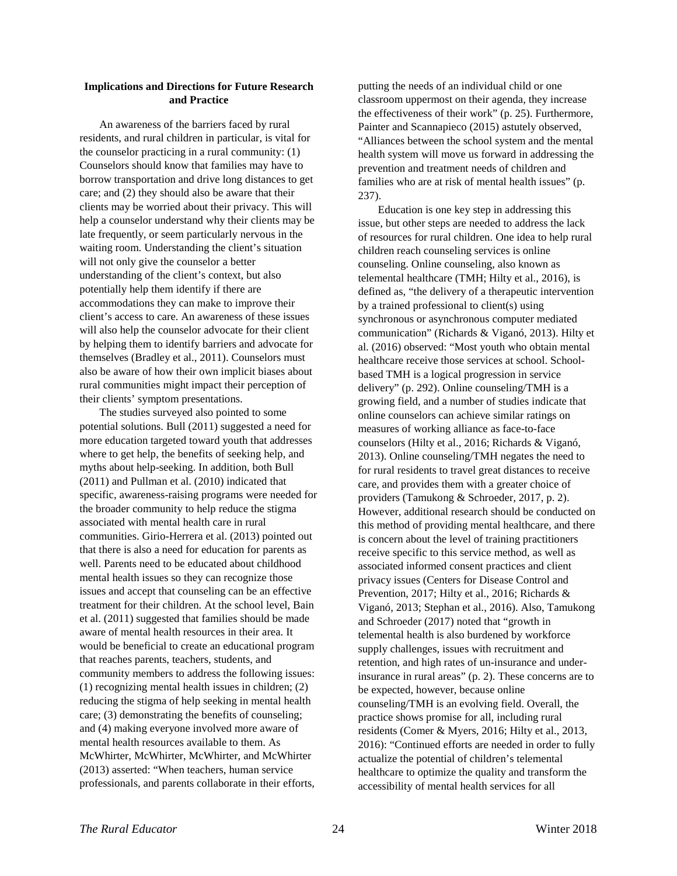## **Implications and Directions for Future Research and Practice**

An awareness of the barriers faced by rural residents, and rural children in particular, is vital for the counselor practicing in a rural community: (1) Counselors should know that families may have to borrow transportation and drive long distances to get care; and (2) they should also be aware that their clients may be worried about their privacy. This will help a counselor understand why their clients may be late frequently, or seem particularly nervous in the waiting room. Understanding the client's situation will not only give the counselor a better understanding of the client's context, but also potentially help them identify if there are accommodations they can make to improve their client's access to care. An awareness of these issues will also help the counselor advocate for their client by helping them to identify barriers and advocate for themselves (Bradley et al., 2011). Counselors must also be aware of how their own implicit biases about rural communities might impact their perception of their clients' symptom presentations.

The studies surveyed also pointed to some potential solutions. Bull (2011) suggested a need for more education targeted toward youth that addresses where to get help, the benefits of seeking help, and myths about help-seeking. In addition, both Bull (2011) and Pullman et al. (2010) indicated that specific, awareness-raising programs were needed for the broader community to help reduce the stigma associated with mental health care in rural communities. Girio-Herrera et al. (2013) pointed out that there is also a need for education for parents as well. Parents need to be educated about childhood mental health issues so they can recognize those issues and accept that counseling can be an effective treatment for their children. At the school level, Bain et al. (2011) suggested that families should be made aware of mental health resources in their area. It would be beneficial to create an educational program that reaches parents, teachers, students, and community members to address the following issues: (1) recognizing mental health issues in children; (2) reducing the stigma of help seeking in mental health care; (3) demonstrating the benefits of counseling; and (4) making everyone involved more aware of mental health resources available to them. As McWhirter, McWhirter, McWhirter, and McWhirter (2013) asserted: "When teachers, human service professionals, and parents collaborate in their efforts,

putting the needs of an individual child or one classroom uppermost on their agenda, they increase the effectiveness of their work" (p. 25). Furthermore, Painter and Scannapieco (2015) astutely observed, "Alliances between the school system and the mental health system will move us forward in addressing the prevention and treatment needs of children and families who are at risk of mental health issues" (p. 237).

Education is one key step in addressing this issue, but other steps are needed to address the lack of resources for rural children. One idea to help rural children reach counseling services is online counseling. Online counseling, also known as telemental healthcare (TMH; Hilty et al., 2016), is defined as, "the delivery of a therapeutic intervention by a trained professional to client(s) using synchronous or asynchronous computer mediated communication" (Richards & Viganó, 2013). Hilty et al. (2016) observed: "Most youth who obtain mental healthcare receive those services at school. Schoolbased TMH is a logical progression in service delivery" (p. 292). Online counseling/TMH is a growing field, and a number of studies indicate that online counselors can achieve similar ratings on measures of working alliance as face-to-face counselors (Hilty et al., 2016; Richards & Viganó, 2013). Online counseling/TMH negates the need to for rural residents to travel great distances to receive care, and provides them with a greater choice of providers (Tamukong & Schroeder, 2017, p. 2). However, additional research should be conducted on this method of providing mental healthcare, and there is concern about the level of training practitioners receive specific to this service method, as well as associated informed consent practices and client privacy issues (Centers for Disease Control and Prevention, 2017; Hilty et al., 2016; Richards & Viganó, 2013; Stephan et al., 2016). Also, Tamukong and Schroeder (2017) noted that "growth in telemental health is also burdened by workforce supply challenges, issues with recruitment and retention, and high rates of un-insurance and underinsurance in rural areas" (p. 2). These concerns are to be expected, however, because online counseling/TMH is an evolving field. Overall, the practice shows promise for all, including rural residents (Comer & Myers, 2016; Hilty et al., 2013, 2016): "Continued efforts are needed in order to fully actualize the potential of children's telemental healthcare to optimize the quality and transform the accessibility of mental health services for all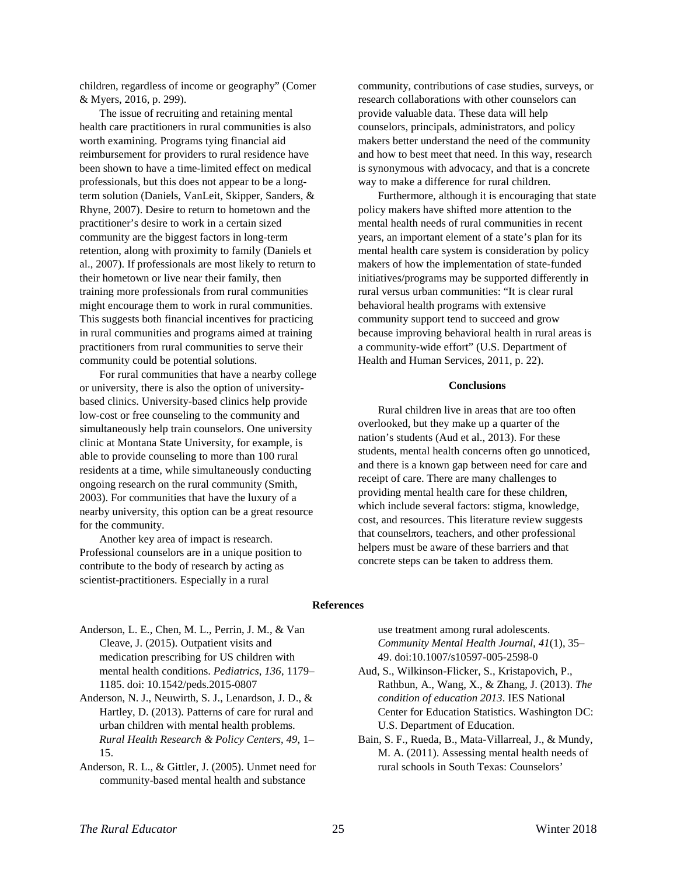children, regardless of income or geography" (Comer & Myers, 2016, p. 299).

The issue of recruiting and retaining mental health care practitioners in rural communities is also worth examining. Programs tying financial aid reimbursement for providers to rural residence have been shown to have a time-limited effect on medical professionals, but this does not appear to be a longterm solution (Daniels, VanLeit, Skipper, Sanders, & Rhyne, 2007). Desire to return to hometown and the practitioner's desire to work in a certain sized community are the biggest factors in long-term retention, along with proximity to family (Daniels et al., 2007). If professionals are most likely to return to their hometown or live near their family, then training more professionals from rural communities might encourage them to work in rural communities. This suggests both financial incentives for practicing in rural communities and programs aimed at training practitioners from rural communities to serve their community could be potential solutions.

For rural communities that have a nearby college or university, there is also the option of universitybased clinics. University-based clinics help provide low-cost or free counseling to the community and simultaneously help train counselors. One university clinic at Montana State University, for example, is able to provide counseling to more than 100 rural residents at a time, while simultaneously conducting ongoing research on the rural community (Smith, 2003). For communities that have the luxury of a nearby university, this option can be a great resource for the community.

Another key area of impact is research. Professional counselors are in a unique position to contribute to the body of research by acting as scientist-practitioners. Especially in a rural

community, contributions of case studies, surveys, or research collaborations with other counselors can provide valuable data. These data will help counselors, principals, administrators, and policy makers better understand the need of the community and how to best meet that need. In this way, research is synonymous with advocacy, and that is a concrete way to make a difference for rural children.

Furthermore, although it is encouraging that state policy makers have shifted more attention to the mental health needs of rural communities in recent years, an important element of a state's plan for its mental health care system is consideration by policy makers of how the implementation of state-funded initiatives/programs may be supported differently in rural versus urban communities: "It is clear rural behavioral health programs with extensive community support tend to succeed and grow because improving behavioral health in rural areas is a community-wide effort" (U.S. Department of Health and Human Services, 2011, p. 22).

#### **Conclusions**

Rural children live in areas that are too often overlooked, but they make up a quarter of the nation's students (Aud et al., 2013). For these students, mental health concerns often go unnoticed, and there is a known gap between need for care and receipt of care. There are many challenges to providing mental health care for these children, which include several factors: stigma, knowledge, cost, and resources. This literature review suggests that counselπors, teachers, and other professional helpers must be aware of these barriers and that concrete steps can be taken to address them.

#### **References**

- Anderson, L. E., Chen, M. L., Perrin, J. M., & Van Cleave, J. (2015). Outpatient visits and medication prescribing for US children with mental health conditions. *Pediatrics*, *136*, 1179– 1185. doi: 10.1542/peds.2015-0807
- Anderson, N. J., Neuwirth, S. J., Lenardson, J. D., & Hartley, D. (2013). Patterns of care for rural and urban children with mental health problems. *Rural Health Research & Policy Centers*, *49*, 1– 15.
- Anderson, R. L., & Gittler, J. (2005). Unmet need for community-based mental health and substance

use treatment among rural adolescents. *Community Mental Health Journal*, *41*(1), 35– 49. doi:10.1007/s10597-005-2598-0

- Aud, S., Wilkinson-Flicker, S., Kristapovich, P., Rathbun, A., Wang, X., & Zhang, J. (2013). *The condition of education 2013*. IES National Center for Education Statistics. Washington DC: U.S. Department of Education.
- Bain, S. F., Rueda, B., Mata-Villarreal, J., & Mundy, M. A. (2011). Assessing mental health needs of rural schools in South Texas: Counselors'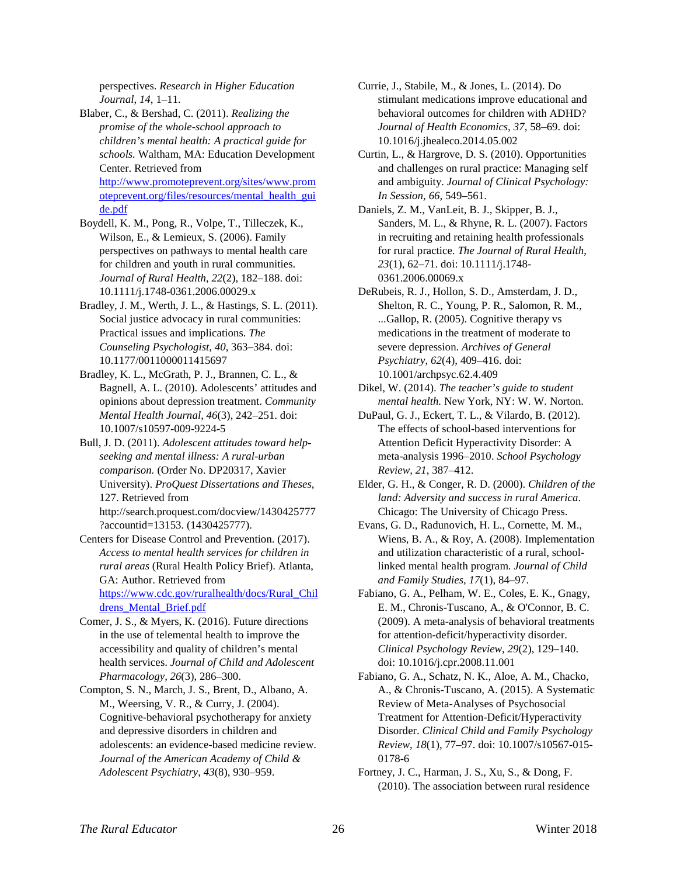perspectives. *Research in Higher Education Journal*, *14*, 1–11.

Blaber, C., & Bershad, C. (2011). *Realizing the promise of the whole-school approach to children's mental health: A practical guide for schools.* Waltham, MA: Education Development Center. Retrieved from [http://www.promoteprevent.org/sites/www.prom](http://www.promoteprevent.org/sites/www.promoteprevent.org/files/resources/mental_health_guide.pdf) [oteprevent.org/files/resources/mental\\_health\\_gui](http://www.promoteprevent.org/sites/www.promoteprevent.org/files/resources/mental_health_guide.pdf) [de.pdf](http://www.promoteprevent.org/sites/www.promoteprevent.org/files/resources/mental_health_guide.pdf)

Boydell, K. M., Pong, R., Volpe, T., Tilleczek, K., Wilson, E., & Lemieux, S. (2006). Family perspectives on pathways to mental health care for children and youth in rural communities. *Journal of Rural Health*, *22*(2), 182–188. doi: 10.1111/j.1748-0361.2006.00029.x

Bradley, J. M., Werth, J. L., & Hastings, S. L. (2011). Social justice advocacy in rural communities: Practical issues and implications. *The Counseling Psychologist*, *40*, 363–384. doi: 10.1177/0011000011415697

Bradley, K. L., McGrath, P. J., Brannen, C. L., & Bagnell, A. L. (2010). Adolescents' attitudes and opinions about depression treatment. *Community Mental Health Journal*, *46*(3), 242–251. doi: 10.1007/s10597-009-9224-5

Bull, J. D. (2011). *Adolescent attitudes toward helpseeking and mental illness: A rural-urban comparison.* (Order No. DP20317, Xavier University). *ProQuest Dissertations and Theses*, 127. Retrieved from http://search.proquest.com/docview/1430425777

?accountid=13153. (1430425777). Centers for Disease Control and Prevention. (2017). *Access to mental health services for children in rural areas* (Rural Health Policy Brief). Atlanta, GA: Author. Retrieved from [https://www.cdc.gov/ruralhealth/docs/Rural\\_Chil](https://www.cdc.gov/ruralhealth/docs/Rural_Childrens_Mental_Brief.pdf) drens Mental Brief.pdf

Comer, J. S., & Myers, K. (2016). Future directions in the use of telemental health to improve the accessibility and quality of children's mental health services. *Journal of Child and Adolescent Pharmacology, 26*(3), 286–300.

Compton, S. N., March, J. S., Brent, D., Albano, A. M., Weersing, V. R., & Curry, J. (2004). Cognitive-behavioral psychotherapy for anxiety and depressive disorders in children and adolescents: an evidence-based medicine review. *Journal of the American Academy of Child & Adolescent Psychiatry*, *43*(8), 930–959.

Currie, J., Stabile, M., & Jones, L. (2014). Do stimulant medications improve educational and behavioral outcomes for children with ADHD? *Journal of Health Economics*, *37*, 58–69. doi: 10.1016/j.jhealeco.2014.05.002

Curtin, L., & Hargrove, D. S. (2010). Opportunities and challenges on rural practice: Managing self and ambiguity. *Journal of Clinical Psychology: In Session, 66*, 549–561.

Daniels, Z. M., VanLeit, B. J., Skipper, B. J., Sanders, M. L., & Rhyne, R. L. (2007). Factors in recruiting and retaining health professionals for rural practice. *The Journal of Rural Health*, *23*(1), 62–71. doi: 10.1111/j.1748- 0361.2006.00069.x

DeRubeis, R. J., Hollon, S. D., Amsterdam, J. D., Shelton, R. C., Young, P. R., Salomon, R. M., ...Gallop, R. (2005). Cognitive therapy vs medications in the treatment of moderate to severe depression. *Archives of General Psychiatry*, *62*(4), 409–416. doi: 10.1001/archpsyc.62.4.409

Dikel, W. (2014). *The teacher's guide to student mental health.* New York, NY: W. W. Norton.

DuPaul, G. J., Eckert, T. L., & Vilardo, B. (2012). The effects of school-based interventions for Attention Deficit Hyperactivity Disorder: A meta-analysis 1996–2010. *School Psychology Review, 21*, 387–412.

Elder, G. H., & Conger, R. D. (2000). *Children of the land: Adversity and success in rural America*. Chicago: The University of Chicago Press.

Evans, G. D., Radunovich, H. L., Cornette, M. M., Wiens, B. A., & Roy, A. (2008). Implementation and utilization characteristic of a rural, schoollinked mental health program. *Journal of Child and Family Studies, 17*(1), 84–97.

Fabiano, G. A., Pelham, W. E., Coles, E. K., Gnagy, E. M., Chronis-Tuscano, A., & O'Connor, B. C. (2009). A meta-analysis of behavioral treatments for attention-deficit/hyperactivity disorder. *Clinical Psychology Review*, *29*(2), 129–140. doi: 10.1016/j.cpr.2008.11.001

Fabiano, G. A., Schatz, N. K., Aloe, A. M., Chacko, A., & Chronis-Tuscano, A. (2015). A Systematic Review of Meta-Analyses of Psychosocial Treatment for Attention-Deficit/Hyperactivity Disorder. *Clinical Child and Family Psychology Review*, *18*(1), 77–97. doi: 10.1007/s10567-015- 0178-6

Fortney, J. C., Harman, J. S., Xu, S., & Dong, F. (2010). The association between rural residence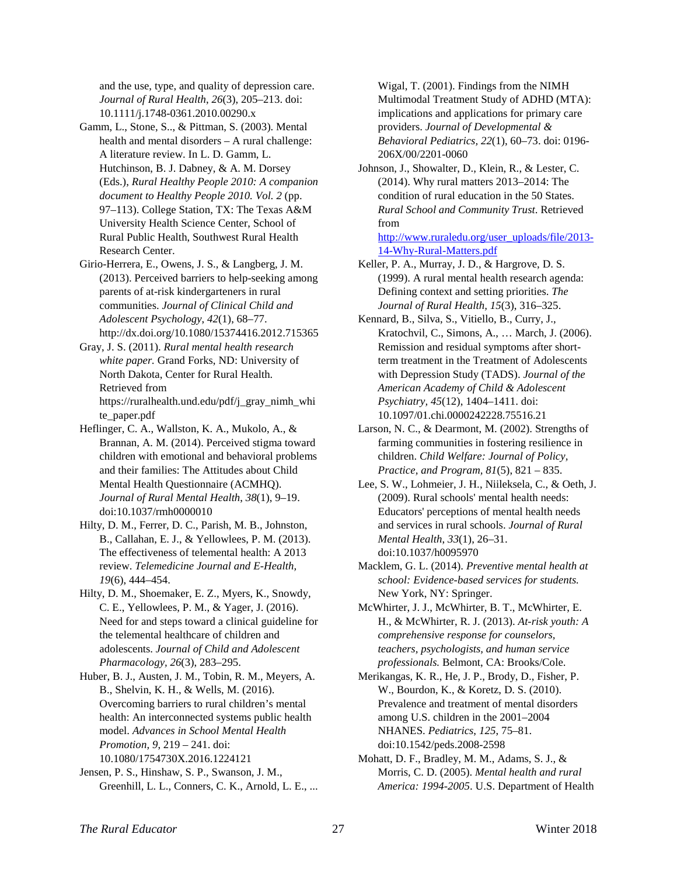and the use, type, and quality of depression care. *Journal of Rural Health*, *26*(3), 205–213. doi: 10.1111/j.1748-0361.2010.00290.x

- Gamm, L., Stone, S.., & Pittman, S. (2003). Mental health and mental disorders – A rural challenge: A literature review. In L. D. Gamm, L. Hutchinson, B. J. Dabney, & A. M. Dorsey (Eds.), *Rural Healthy People 2010: A companion document to Healthy People 2010. Vol. 2* (pp. 97–113). College Station, TX: The Texas A&M University Health Science Center, School of Rural Public Health, Southwest Rural Health Research Center.
- Girio-Herrera, E., Owens, J. S., & Langberg, J. M. (2013). Perceived barriers to help-seeking among parents of at-risk kindergarteners in rural communities. *Journal of Clinical Child and Adolescent Psychology*, *42*(1), 68–77.
- http://dx.doi.org/10.1080/15374416.2012.715365 Gray, J. S. (2011). *Rural mental health research white paper.* Grand Forks, ND: University of North Dakota, Center for Rural Health. Retrieved from https://ruralhealth.und.edu/pdf/j\_gray\_nimh\_whi
- te\_paper.pdf Heflinger, C. A., Wallston, K. A., Mukolo, A., & Brannan, A. M. (2014). Perceived stigma toward
- children with emotional and behavioral problems and their families: The Attitudes about Child Mental Health Questionnaire (ACMHQ). *Journal of Rural Mental Health*, *38*(1), 9–19. doi:10.1037/rmh0000010
- Hilty, D. M., Ferrer, D. C., Parish, M. B., Johnston, B., Callahan, E. J., & Yellowlees, P. M. (2013). The effectiveness of telemental health: A 2013 review. *Telemedicine Journal and E-Health, 19*(6), 444–454.
- Hilty, D. M., Shoemaker, E. Z., Myers, K., Snowdy, C. E., Yellowlees, P. M., & Yager, J. (2016). Need for and steps toward a clinical guideline for the telemental healthcare of children and adolescents. *Journal of Child and Adolescent Pharmacology, 26*(3), 283–295.
- Huber, B. J., Austen, J. M., Tobin, R. M., Meyers, A. B., Shelvin, K. H., & Wells, M. (2016). Overcoming barriers to rural children's mental health: An interconnected systems public health model. *Advances in School Mental Health Promotion, 9*, 219 – 241. doi: 10.1080/1754730X.2016.1224121
- Jensen, P. S., Hinshaw, S. P., Swanson, J. M., Greenhill, L. L., Conners, C. K., Arnold, L. E., ...

Wigal, T. (2001). Findings from the NIMH Multimodal Treatment Study of ADHD (MTA): implications and applications for primary care providers. *Journal of Developmental & Behavioral Pediatrics, 22*(1), 60–73. doi: 0196- 206X/00/2201-0060

Johnson, J., Showalter, D., Klein, R., & Lester, C. (2014). Why rural matters 2013–2014: The condition of rural education in the 50 States. *Rural School and Community Trust*. Retrieved from

[http://www.ruraledu.org/user\\_uploads/file/2013-](http://www.ruraledu.org/user_uploads/file/2013-14-Why-Rural-Matters.pdf) [14-Why-Rural-Matters.pdf](http://www.ruraledu.org/user_uploads/file/2013-14-Why-Rural-Matters.pdf)

- Keller, P. A., Murray, J. D., & Hargrove, D. S. (1999). A rural mental health research agenda: Defining context and setting priorities. *The Journal of Rural Health, 15*(3), 316–325.
- Kennard, B., Silva, S., Vitiello, B., Curry, J., Kratochvil, C., Simons, A., … March, J. (2006). Remission and residual symptoms after shortterm treatment in the Treatment of Adolescents with Depression Study (TADS). *Journal of the American Academy of Child & Adolescent Psychiatry, 45*(12), 1404–1411. doi: 10.1097/01.chi.0000242228.75516.21
- Larson, N. C., & Dearmont, M. (2002). Strengths of farming communities in fostering resilience in children. *Child Welfare: Journal of Policy, Practice, and Program, 81*(5), 821 – 835.
- Lee, S. W., Lohmeier, J. H., Niileksela, C., & Oeth, J. (2009). Rural schools' mental health needs: Educators' perceptions of mental health needs and services in rural schools. *Journal of Rural Mental Health*, *33*(1), 26–31. doi:10.1037/h0095970
- Macklem, G. L. (2014). *Preventive mental health at school: Evidence-based services for students.* New York, NY: Springer.
- McWhirter, J. J., McWhirter, B. T., McWhirter, E. H., & McWhirter, R. J. (2013). *At-risk youth: A comprehensive response for counselors, teachers, psychologists, and human service professionals.* Belmont, CA: Brooks/Cole.
- Merikangas, K. R., He, J. P., Brody, D., Fisher, P. W., Bourdon, K., & Koretz, D. S. (2010). Prevalence and treatment of mental disorders among U.S. children in the 2001–2004 NHANES. *Pediatrics*, *125*, 75–81. doi:10.1542/peds.2008-2598
- Mohatt, D. F., Bradley, M. M., Adams, S. J., & Morris, C. D. (2005). *Mental health and rural America: 1994-2005*. U.S. Department of Health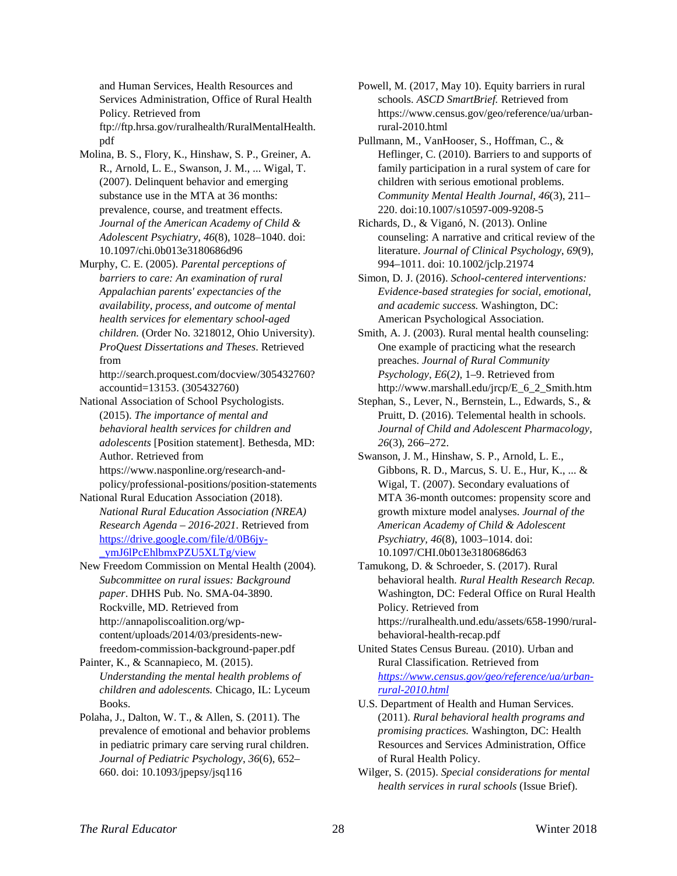and Human Services, Health Resources and Services Administration, Office of Rural Health Policy. Retrieved from ftp://ftp.hrsa.gov/ruralhealth/RuralMentalHealth. pdf

- Molina, B. S., Flory, K., Hinshaw, S. P., Greiner, A. R., Arnold, L. E., Swanson, J. M., ... Wigal, T. (2007). Delinquent behavior and emerging substance use in the MTA at 36 months: prevalence, course, and treatment effects. *Journal of the American Academy of Child & Adolescent Psychiatry, 46*(8), 1028–1040. doi: 10.1097/chi.0b013e3180686d96
- Murphy, C. E. (2005). *Parental perceptions of barriers to care: An examination of rural Appalachian parents' expectancies of the availability, process, and outcome of mental health services for elementary school-aged children.* (Order No. 3218012, Ohio University). *ProQuest Dissertations and Theses*. Retrieved from

http://search.proquest.com/docview/305432760? accountid=13153. (305432760)

National Association of School Psychologists. (2015). *The importance of mental and behavioral health services for children and adolescents* [Position statement]. Bethesda, MD: Author. Retrieved from https://www.nasponline.org/research-and-

policy/professional-positions/position-statements National Rural Education Association (2018).

*National Rural Education Association (NREA) Research Agenda – 2016-2021.* Retrieved from [https://drive.google.com/file/d/0B6jy-](https://drive.google.com/file/d/0B6jy-_ymJ6lPcEhlbmxPZU5XLTg/view) [\\_ymJ6lPcEhlbmxPZU5XLTg/view](https://drive.google.com/file/d/0B6jy-_ymJ6lPcEhlbmxPZU5XLTg/view)

New Freedom Commission on Mental Health (2004)*. Subcommittee on rural issues: Background paper*. DHHS Pub. No. SMA-04-3890. Rockville, MD. Retrieved from http://annapoliscoalition.org/wpcontent/uploads/2014/03/presidents-newfreedom-commission-background-paper.pdf

Painter, K., & Scannapieco, M. (2015). *Understanding the mental health problems of children and adolescents.* Chicago, IL: Lyceum Books.

Polaha, J., Dalton, W. T., & Allen, S. (2011). The prevalence of emotional and behavior problems in pediatric primary care serving rural children. *Journal of Pediatric Psychology*, *36*(6), 652– 660. doi: 10.1093/jpepsy/jsq116

Powell, M. (2017, May 10). Equity barriers in rural schools. *ASCD SmartBrief.* Retrieved from https://www.census.gov/geo/reference/ua/urbanrural-2010.html

Pullmann, M., VanHooser, S., Hoffman, C., & Heflinger, C. (2010). Barriers to and supports of family participation in a rural system of care for children with serious emotional problems. *Community Mental Health Journal*, *46*(3), 211– 220. doi:10.1007/s10597-009-9208-5

Richards, D., & Viganó, N. (2013). Online counseling: A narrative and critical review of the literature. *Journal of Clinical Psychology*, *69*(9), 994–1011. doi: 10.1002/jclp.21974

Simon, D. J. (2016). *School-centered interventions: Evidence-based strategies for social, emotional, and academic success.* Washington, DC: American Psychological Association.

Smith, A. J. (2003). Rural mental health counseling: One example of practicing what the research preaches. *Journal of Rural Community Psychology, E6*(*2),* 1–9. Retrieved from http://www.marshall.edu/jrcp/E\_6\_2\_Smith.htm

Stephan, S., Lever, N., Bernstein, L., Edwards, S., & Pruitt, D. (2016). Telemental health in schools. *Journal of Child and Adolescent Pharmacology, 26*(3), 266–272.

Swanson, J. M., Hinshaw, S. P., Arnold, L. E., Gibbons, R. D., Marcus, S. U. E., Hur, K., ... & Wigal, T. (2007). Secondary evaluations of MTA 36-month outcomes: propensity score and growth mixture model analyses. *Journal of the American Academy of Child & Adolescent Psychiatry, 46*(8), 1003–1014. doi: 10.1097/CHI.0b013e3180686d63

Tamukong, D. & Schroeder, S. (2017). Rural behavioral health. *Rural Health Research Recap.*  Washington, DC: Federal Office on Rural Health Policy. Retrieved from https://ruralhealth.und.edu/assets/658-1990/ruralbehavioral-health-recap.pdf

United States Census Bureau. (2010). Urban and Rural Classification. Retrieved from *[https://www.census.gov/geo/reference/ua/urban](https://www.census.gov/geo/reference/ua/urban-rural-2010.html)[rural-2010.html](https://www.census.gov/geo/reference/ua/urban-rural-2010.html)*

- U.S. Department of Health and Human Services. (2011). *Rural behavioral health programs and promising practices.* Washington, DC: Health Resources and Services Administration, Office of Rural Health Policy.
- Wilger, S. (2015). *Special considerations for mental health services in rural schools* (Issue Brief).